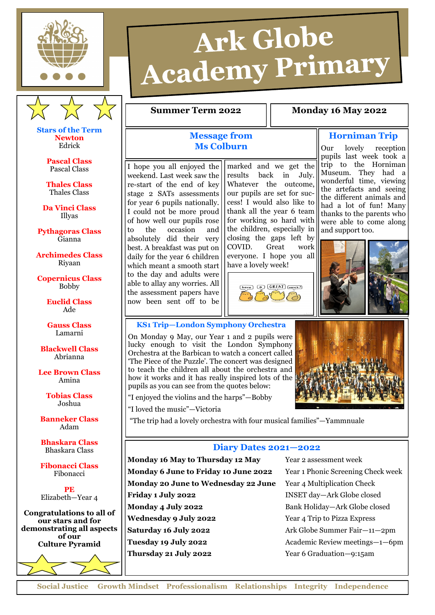



**Stars of the Term Newton** Edrick

> **Pascal Class** Pascal Class

**Thales Class** Thales Class

**Da Vinci Class** Illyas

**Pythagoras Class** Gianna

**Archimedes Class** Riyaan

**Copernicus Class** Bobby

> **Euclid Class** Ade

**Gauss Class** Lamarni

**Blackwell Class** Abrianna

**Lee Brown Class** Amina

> **Tobias Class** Joshua

**Banneker Class** Adam

**Bhaskara Class** Bhaskara Class

**Fibonacci Class** Fibonacci

**PE** Elizabeth—Year 4

**Congratulations to all of our stars and for demonstrating all aspects of our Culture Pyramid**

# Ark Globe **Academy Primary**

### **Summer Term 2022** | **Monday 16 May 2022**

## **Message from Ms Colburn**

I hope you all enjoyed the weekend. Last week saw the re-start of the end of key stage 2 SATs assessments for year 6 pupils nationally. I could not be more proud of how well our pupils rose to the occasion and absolutely did their very best. A breakfast was put on daily for the year 6 children which meant a smooth start to the day and adults were able to allay any worries. All the assessment papers have now been sent off to be

marked and we get the results back in July. Whatever the outcome, our pupils are set for success! I would also like to thank all the year 6 team for working so hard with the children, especially in closing the gaps left by COVID. Great work everyone. I hope you all have a lovely week!



trip to the Horniman Museum. They had a wonderful time, viewing the artefacts and seeing the different animals and had a lot of fun! Many thanks to the parents who were able to come along and support too.

**Horniman Trip** Our lovely reception pupils last week took a



**KS1 Trip—London Symphony Orchestra**

On Monday 9 May, our Year 1 and 2 pupils were lucky enough to visit the London Symphony Orchestra at the Barbican to watch a concert called 'The Piece of the Puzzle'. The concert was designed to teach the children all about the orchestra and how it works and it has really inspired lots of the pupils as you can see from the quotes below:



"I enjoyed the violins and the harps"—Bobby

"I loved the music"—Victoria

"The trip had a lovely orchestra with four musical families"—Yammnuale

#### **Diary Dates 2021—2022**

**Monday 16 May to Thursday 12 May** Year 2 assessment week **Monday 6 June to Friday 10 June 2022** Year 1 Phonic Screening Check week **Monday 20 June to Wednesday 22 June** Year 4 Multiplication Check **Friday 1 July 2022** INSET day—Ark Globe closed **Monday 4 July 2022** Bank Holiday—Ark Globe closed **Wednesday 9 July 2022** Year 4 Trip to Pizza Express **Saturday 16 July 2022** Ark Globe Summer Fair—11—2pm **Tuesday 19 July 2022** Academic Review meetings—1—6pm **Thursday 21 July 2022** Year 6 Graduation—9:15am

**Social Justice Growth Mindset Professionalism Relationships Integrity Independence**